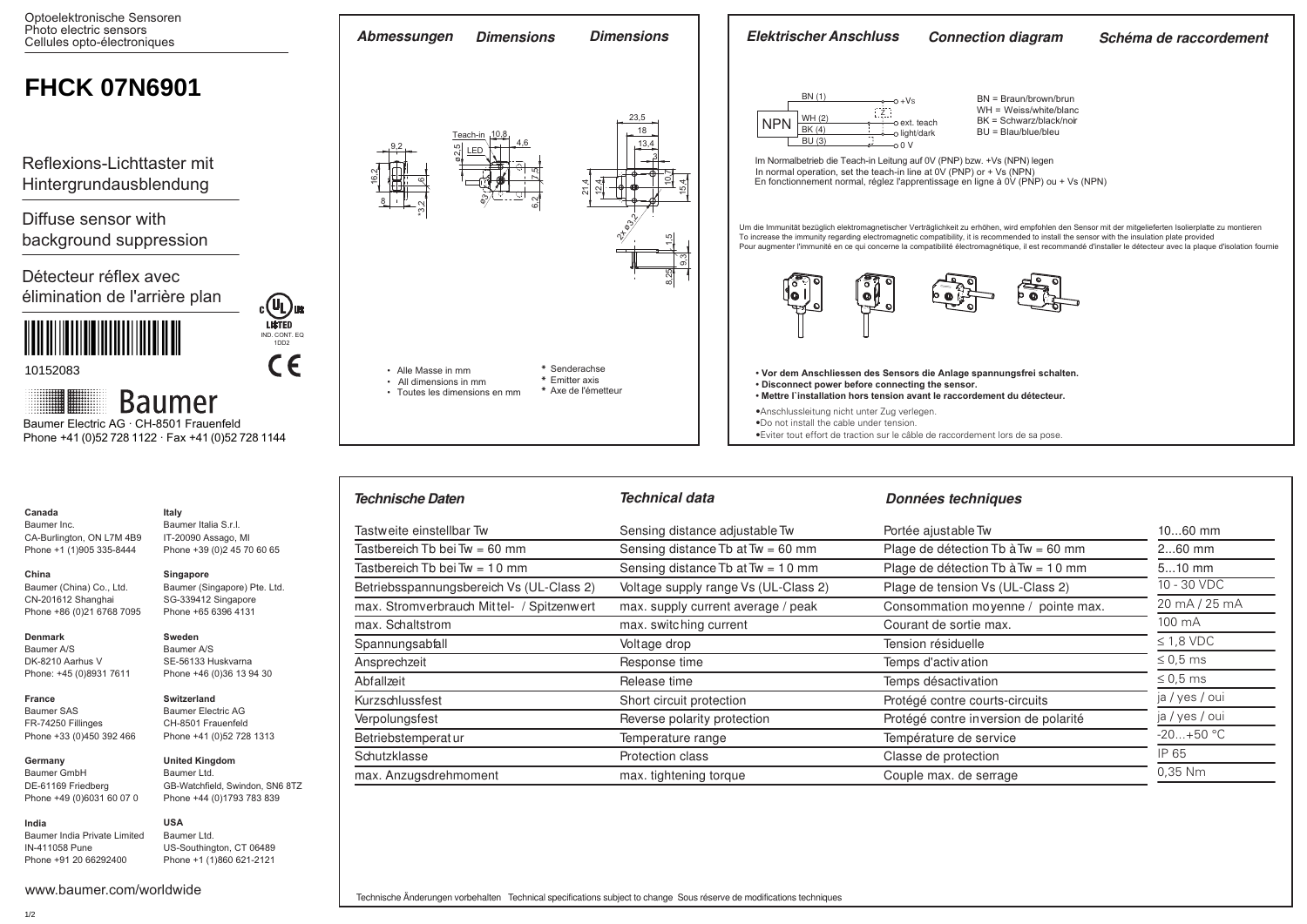

Betriebsspannungsbereich Vs (UL-Class 2) Voltage supply range Vs (UL-Class 2) Plage de tension Vs (UL-Class 2) max. Stromverbrauch Mittel- / Spitzenwert max. supply current average / peak Consommation moyenne / pointe max

Tastbereich Tb bei Tw = 60 mm  $Sensing$  distance Tb at Tw = 60 mm Plage de détection Tb à Tw = 60 mm Tastbereich Tb bei Tw = 10 mm Sensing distance Tb at Tw = 10 mm Plage de détection Tb à Tw = 10 mm

> 10 - 30 VDC 20 mA / 25 mA 100 mA  $\leq$  1.8 VDC  $\leq 0.5$  ms ≤ 0,5 ms ja / yes / oui ja / yes / oui  $-20 + 50 °C$ IP 65 0,35 Nm

10...60 mm 2...60 mm 5...10 mm

Kurzschlussfest **Short circuit protection Short circuits** Protégé contre courts-circuits Verpolungsfest entertainment reverse polarity protection and Protégé contre inversion de polarité

Betriebstemperatur and Temperature range Temperature range Température de service Schutzklasse **Protection class** Protection class **Protection** classe Classe de protection max. Anzugsdrehmoment max. tightening torque max. the Couple max. de serrage max. de serrage

max. Schaltstrom **max.** switching current Courant de sortie max. switching current Spannungsabfall Voltage drop Tension résiduelle Ansprechzeit Response time Temps d'activation Abfallzeit **Release time Release time** Temps désactivation

Tastweite einstellbar Tw **Sensing distance adjustable Tw** Portée ajustable Tw

| ×<br>$\sim$<br>$\sim$<br>. . |  |
|------------------------------|--|
|                              |  |

Baumer Inc. CA-Burlington, ON L7M 4B9 Phone +1 (1)905 335-8444

# **China**  CN-201612 Shanghai

Baumer (China) Co., Ltd. Phone +86 (0)21 6768 7095 **Singapore** Baumer (Singapore) Pte. Ltd. SG-339412 Singapore Phone +65 6396 4131

> **Sweden** Baumer A/S SE-56133 Huskvarna Phone +46 (0)36 13 94 30

Baumer Italia S.r.l. IT-20090 Assago, MI Phone +39 (0)2 45 70 60 65

# **Denmark**

Baumer A/S DK-8210 Aarhus V Phone: +45 (0)8931 7611

#### **France** Baumer SAS FR-74250 Fillinges

Baumer GmbH DE-61169 Friedberg

Phone +33 (0)450 392 466 **Germany** 

# Phone +41 (0)52 728 1313 **United Kingdom**

Phone +49 (0)6031 60 07 0 Baumer Ltd. GB-Watchfield, Swindon, SN6 8TZ Phone +44 (0)1793 783 839

**Switzerland** Baumer Electric AG CH-8501 Frauenfeld

#### **India** Baumer India Private Limited IN-411058 Pune

Phone +91 20 66292400 **USA** Baumer Ltd. US-Southington, CT 06489 Phone +1 (1)860 621-2121